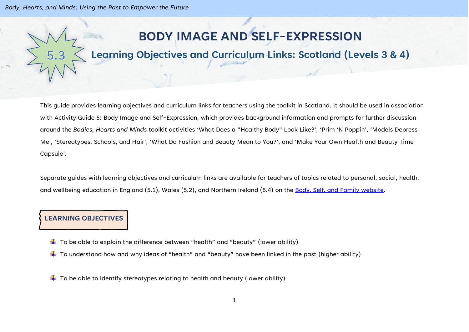*Body, Hearts, and Minds: Using the Past to Empower the Future*

## **BODY IMAGE AND SELF-EXPRESSION**

## **Learning Objectives and Curriculum Links: Scotland (Levels 3 & 4)**

This guide provides learning objectives and curriculum links for teachers using the toolkit in Scotland. It should be used in association with Activity Guide 5: Body Image and Self-Expression, which provides background information and prompts for further discussion around the *Bodies, Hearts and Minds* toolkit activities 'What Does a "Healthy Body" Look Like?', 'Prim 'N Poppin', 'Models Depress Me', 'Stereotypes, Schools, and Hair', 'What Do Fashion and Beauty Mean to You?', and 'Make Your Own Health and Beauty Time Capsule'.

Separate guides with learning objectives and curriculum links are available for teachers of topics related to personal, social, health, and wellbeing education in England (5.1), Wales (5.2), and Northern Ireland (5.4) on the [Body, Self, and Family website.](https://bodyselffamily.org/)

## **LEARNING OBJECTIVES**

- $\downarrow$  To be able to explain the difference between "health" and "beauty" (lower ability)
- $\ddotplus$  To understand how and why ideas of "health" and "beauty" have been linked in the past (higher ability)
- $\ddotplus$  To be able to identify stereotypes relating to health and beauty (lower ability)